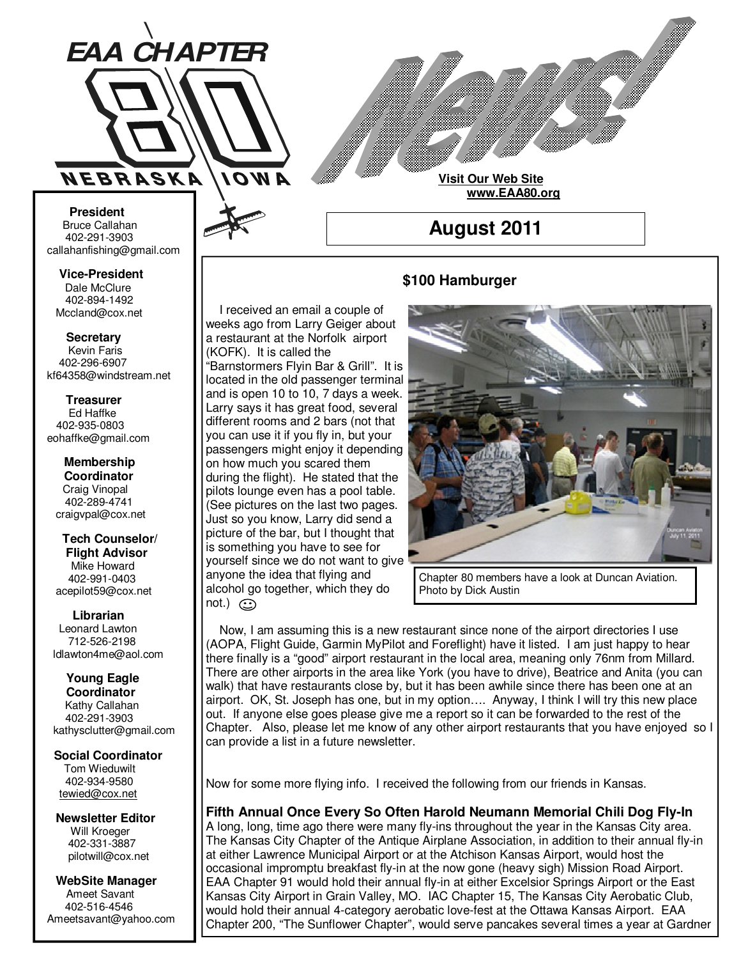

**Visit Our Web Site www.EAA80.org**

**August 2011** 

#### **\$100 Hamburger**

 I received an email a couple of weeks ago from Larry Geiger about a restaurant at the Norfolk airport (KOFK). It is called the

"Barnstormers Flyin Bar & Grill". It is located in the old passenger terminal and is open 10 to 10, 7 days a week. Larry says it has great food, several different rooms and 2 bars (not that you can use it if you fly in, but your passengers might enjoy it depending on how much you scared them during the flight). He stated that the pilots lounge even has a pool table. (See pictures on the last two pages. Just so you know, Larry did send a picture of the bar, but I thought that is something you have to see for yourself since we do not want to give anyone the idea that flying and alcohol go together, which they do  $not.)$   $\odot$ 

Chapter 80 members have a look at Duncan Aviation.

Photo by Dick Austin

 Now, I am assuming this is a new restaurant since none of the airport directories I use (AOPA, Flight Guide, Garmin MyPilot and Foreflight) have it listed. I am just happy to hear there finally is a "good" airport restaurant in the local area, meaning only 76nm from Millard. There are other airports in the area like York (you have to drive), Beatrice and Anita (you can walk) that have restaurants close by, but it has been awhile since there has been one at an airport. OK, St. Joseph has one, but in my option…. Anyway, I think I will try this new place out. If anyone else goes please give me a report so it can be forwarded to the rest of the Chapter. Also, please let me know of any other airport restaurants that you have enjoyed so I can provide a list in a future newsletter.

Now for some more flying info. I received the following from our friends in Kansas.

**Fifth Annual Once Every So Often Harold Neumann Memorial Chili Dog Fly-In**

A long, long, time ago there were many fly-ins throughout the year in the Kansas City area. The Kansas City Chapter of the Antique Airplane Association, in addition to their annual fly-in at either Lawrence Municipal Airport or at the Atchison Kansas Airport, would host the occasional impromptu breakfast fly-in at the now gone (heavy sigh) Mission Road Airport. EAA Chapter 91 would hold their annual fly-in at either Excelsior Springs Airport or the East Kansas City Airport in Grain Valley, MO. IAC Chapter 15, The Kansas City Aerobatic Club, would hold their annual 4-category aerobatic love-fest at the Ottawa Kansas Airport. EAA Chapter 200, "The Sunflower Chapter", would serve pancakes several times a year at Gardner

**Bruce Callahan** 402-291-3903 callahanfishing@gmail.com jrnuke@cox.net  **President** 

Dale McClure 402-894-1492 Mccland@cox.net  **Vice-President** 

**Kevin Faris** 402-296-6907 kf64358@windstream.net  **Secretary** 

Ed Haffke 402-935-0803 eohaffke@gmail.com  **Treasurer** 

eohaffke@gmail.com **Membership Coordi- Coordinator**  Craig Vinopal Bob Cartwright 402-289-4741 craigvpal@cox.net  **Membership** 

robertc@novia.net **Tech Counselors & Flight Advisor** Mike Howard Bob Harvey 402-991-0403 acepilot59@cox.net  **Tech Counselor/** 

Leonard Lawton 402-991-0403 712-526-2198 ldlawton4me@aol.com  **Librarian**

**Librarian Young Eagle Coordinator** Kathy Callahan ldlawton4me@aol.com 402-291-3903 kathysclutter@gmail.com

 **Coordinator Social Coordinator** 

Tom Wieduwilt 402-964-2645 402-934-9580 tewied@cox.net

**Newsletter Editor Newsletter Editor**  Will Kroeger Will Kroeger 402-331-3887 402-331-3887 pilotwill@cox.net

**WebSite Manager WebSite Manager**  Ameet Savant 402-516-4546 Ameet Savant<br>402-516-4546<br>Ameetsavant@yahoo.com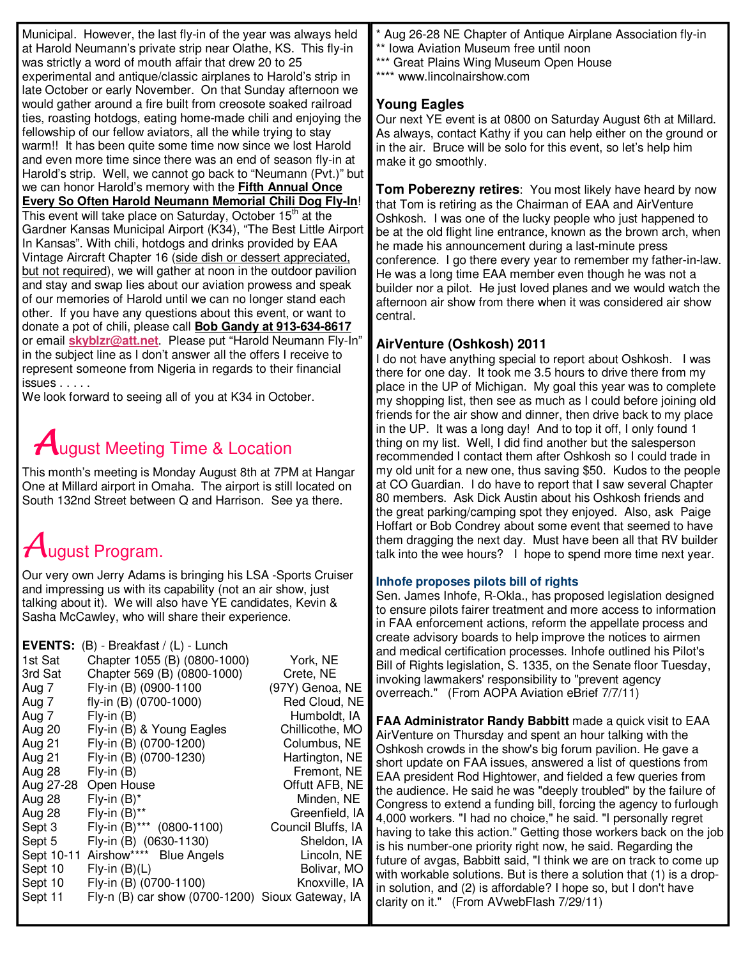Municipal. However, the last fly-in of the year was always held at Harold Neumann's private strip near Olathe, KS. This fly-in was strictly a word of mouth affair that drew 20 to 25 experimental and antique/classic airplanes to Harold's strip in late October or early November. On that Sunday afternoon we would gather around a fire built from creosote soaked railroad ties, roasting hotdogs, eating home-made chili and enjoying the fellowship of our fellow aviators, all the while trying to stay warm!! It has been quite some time now since we lost Harold and even more time since there was an end of season fly-in at Harold's strip. Well, we cannot go back to "Neumann (Pvt.)" but we can honor Harold's memory with the **Fifth Annual Once Every So Often Harold Neumann Memorial Chili Dog Fly-In**! This event will take place on Saturday, October  $15<sup>th</sup>$  at the Gardner Kansas Municipal Airport (K34), "The Best Little Airport In Kansas". With chili, hotdogs and drinks provided by EAA Vintage Aircraft Chapter 16 (side dish or dessert appreciated, but not required), we will gather at noon in the outdoor pavilion and stay and swap lies about our aviation prowess and speak of our memories of Harold until we can no longer stand each other. If you have any questions about this event, or want to donate a pot of chili, please call **Bob Gandy at 913-634-8617** or email **skyblzr@att.net**. Please put "Harold Neumann Fly-In" in the subject line as I don't answer all the offers I receive to represent someone from Nigeria in regards to their financial issues . . . . .

We look forward to seeing all of you at K34 in October.

# **A**ugust Meeting Time & Location

This month's meeting is Monday August 8th at 7PM at Hangar One at Millard airport in Omaha. The airport is still located on South 132nd Street between Q and Harrison. See ya there.

# August Program.

Our very own Jerry Adams is bringing his LSA -Sports Cruiser and impressing us with its capability (not an air show, just talking about it). We will also have YE candidates, Kevin & Sasha McCawley, who will share their experience.

Aug 26-28 NE Chapter of Antique Airplane Association fly-in

- \*\* Iowa Aviation Museum free until noon
- \*\*\* Great Plains Wing Museum Open House
- \*\*\*\* www.lincolnairshow.com

## **Young Eagles**

Our next YE event is at 0800 on Saturday August 6th at Millard. As always, contact Kathy if you can help either on the ground or in the air. Bruce will be solo for this event, so let's help him make it go smoothly.

**Tom Poberezny retires**: You most likely have heard by now that Tom is retiring as the Chairman of EAA and AirVenture Oshkosh. I was one of the lucky people who just happened to be at the old flight line entrance, known as the brown arch, when he made his announcement during a last-minute press conference. I go there every year to remember my father-in-law. He was a long time EAA member even though he was not a builder nor a pilot. He just loved planes and we would watch the afternoon air show from there when it was considered air show central.

# **AirVenture (Oshkosh) 2011**

I do not have anything special to report about Oshkosh. I was there for one day. It took me 3.5 hours to drive there from my place in the UP of Michigan. My goal this year was to complete my shopping list, then see as much as I could before joining old friends for the air show and dinner, then drive back to my place in the UP. It was a long day! And to top it off, I only found 1 thing on my list. Well, I did find another but the salesperson recommended I contact them after Oshkosh so I could trade in my old unit for a new one, thus saving \$50. Kudos to the people at CO Guardian. I do have to report that I saw several Chapter 80 members. Ask Dick Austin about his Oshkosh friends and the great parking/camping spot they enjoyed. Also, ask Paige Hoffart or Bob Condrey about some event that seemed to have them dragging the next day. Must have been all that RV builder talk into the wee hours? I hope to spend more time next year.

### **Inhofe proposes pilots bill of rights**

Sen. James Inhofe, R-Okla., has proposed legislation designed to ensure pilots fairer treatment and more access to information in FAA enforcement actions, reform the appellate process and create advisory boards to help improve the notices to airmen and medical certification processes. Inhofe outlined his Pilot's Bill of Rights legislation, S. 1335, on the Senate floor Tuesday, invoking lawmakers' responsibility to "prevent agency overreach." (From AOPA Aviation eBrief 7/7/11)

**FAA Administrator Randy Babbitt** made a quick visit to EAA AirVenture on Thursday and spent an hour talking with the Oshkosh crowds in the show's big forum pavilion. He gave a short update on FAA issues, answered a list of questions from EAA president Rod Hightower, and fielded a few queries from the audience. He said he was "deeply troubled" by the failure of Congress to extend a funding bill, forcing the agency to furlough 4,000 workers. "I had no choice," he said. "I personally regret having to take this action." Getting those workers back on the job is his number-one priority right now, he said. Regarding the future of avgas, Babbitt said, "I think we are on track to come up with workable solutions. But is there a solution that (1) is a dropin solution, and (2) is affordable? I hope so, but I don't have clarity on it." (From AVwebFlash 7/29/11)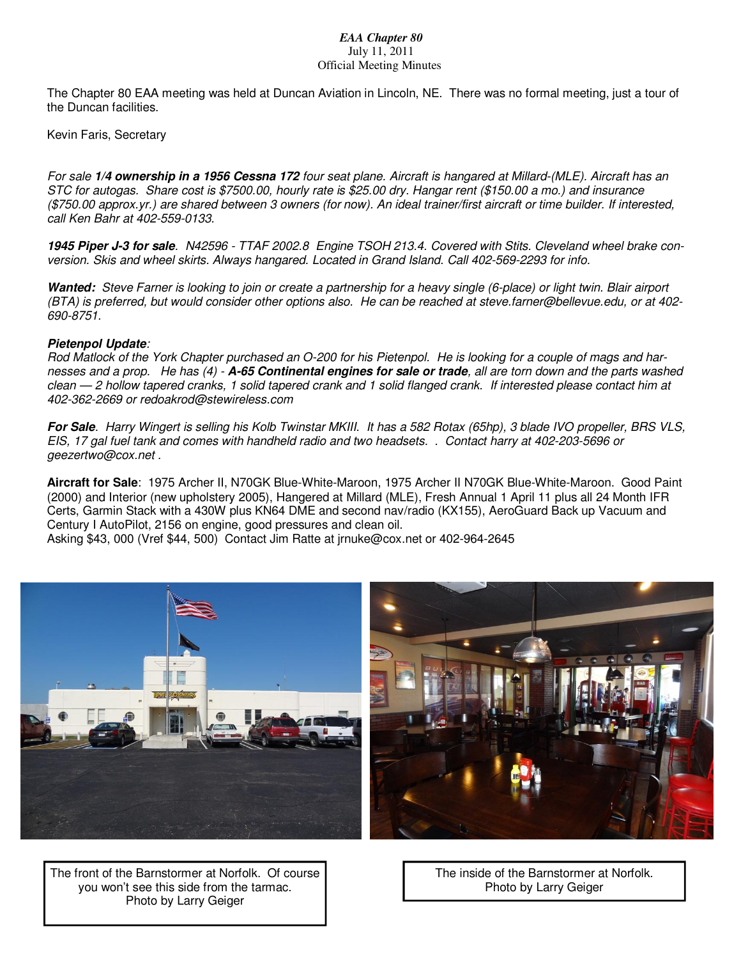#### *EAA Chapter 80*  July 11, 2011 Official Meeting Minutes

The Chapter 80 EAA meeting was held at Duncan Aviation in Lincoln, NE. There was no formal meeting, just a tour of the Duncan facilities.

Kevin Faris, Secretary

*For sale* **1/4 ownership in a 1956 Cessna 172** *four seat plane. Aircraft is hangared at Millard-(MLE). Aircraft has an STC for autogas. Share cost is \$7500.00, hourly rate is \$25.00 dry. Hangar rent (\$150.00 a mo.) and insurance (\$750.00 approx.yr.) are shared between 3 owners (for now). An ideal trainer/first aircraft or time builder. If interested, call Ken Bahr at 402-559-0133.* 

**1945 Piper J-3 for sale***. N42596 - TTAF 2002.8 Engine TSOH 213.4. Covered with Stits. Cleveland wheel brake conversion. Skis and wheel skirts. Always hangared. Located in Grand Island. Call 402-569-2293 for info.* 

**Wanted:** *Steve Farner is looking to join or create a partnership for a heavy single (6-place) or light twin. Blair airport (BTA) is preferred, but would consider other options also. He can be reached at steve.farner@bellevue.edu, or at 402- 690-8751.* 

#### **Pietenpol Update***:*

*Rod Matlock of the York Chapter purchased an O-200 for his Pietenpol. He is looking for a couple of mags and harnesses and a prop. He has (4) -* **A-65 Continental engines for sale or trade***, all are torn down and the parts washed clean — 2 hollow tapered cranks, 1 solid tapered crank and 1 solid flanged crank. If interested please contact him at 402-362-2669 or redoakrod@stewireless.com* 

**For Sale***. Harry Wingert is selling his Kolb Twinstar MKIII. It has a 582 Rotax (65hp), 3 blade IVO propeller, BRS VLS, EIS, 17 gal fuel tank and comes with handheld radio and two headsets. . Contact harry at 402-203-5696 or geezertwo@cox.net .* 

**Aircraft for Sale**: 1975 Archer II, N70GK Blue-White-Maroon, 1975 Archer II N70GK Blue-White-Maroon. Good Paint (2000) and Interior (new upholstery 2005), Hangered at Millard (MLE), Fresh Annual 1 April 11 plus all 24 Month IFR Certs, Garmin Stack with a 430W plus KN64 DME and second nav/radio (KX155), AeroGuard Back up Vacuum and Century I AutoPilot, 2156 on engine, good pressures and clean oil.

Asking \$43, 000 (Vref \$44, 500) Contact Jim Ratte at jrnuke@cox.net or 402-964-2645



The front of the Barnstormer at Norfolk. Of course you won't see this side from the tarmac. Photo by Larry Geiger

The inside of the Barnstormer at Norfolk. Photo by Larry Geiger